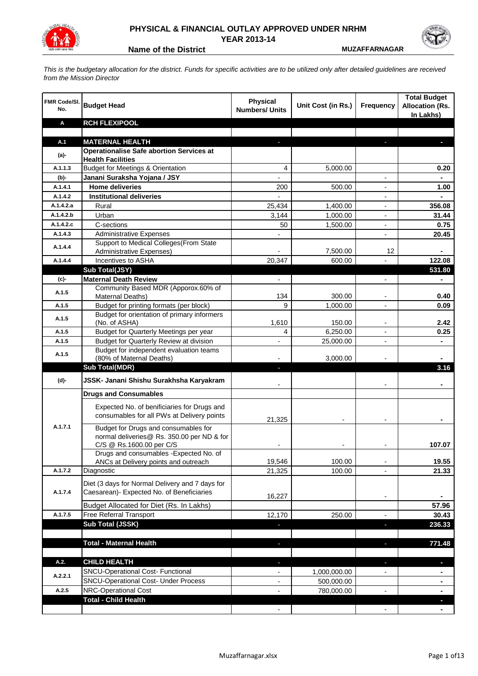

## **PHYSICAL & FINANCIAL OUTLAY APPROVED UNDER NRHM YEAR 2013-14**

**Name of the District <b>MUZAFFARNAGAR** 

*This is the budgetary allocation for the district. Funds for specific activities are to be utilized only after detailed guidelines are received from the Mission Director*

| <b>FMR Code/SI.</b><br>No. | <b>Budget Head</b>                                                                                             | <b>Physical</b><br><b>Numbers/ Units</b> | Unit Cost (in Rs.) | Frequency                | <b>Total Budget</b><br><b>Allocation (Rs.</b><br>In Lakhs) |
|----------------------------|----------------------------------------------------------------------------------------------------------------|------------------------------------------|--------------------|--------------------------|------------------------------------------------------------|
| Α                          | <b>RCH FLEXIPOOL</b>                                                                                           |                                          |                    |                          |                                                            |
|                            |                                                                                                                |                                          |                    |                          |                                                            |
| A.1                        | <b>MATERNAL HEALTH</b>                                                                                         |                                          |                    |                          |                                                            |
| $(a)$ -                    | <b>Operationalise Safe abortion Services at</b><br><b>Health Facilities</b>                                    |                                          |                    |                          |                                                            |
| A.1.1.3                    | <b>Budget for Meetings &amp; Orientation</b>                                                                   | 4                                        | 5,000.00           |                          | 0.20                                                       |
| (b)-                       | Janani Suraksha Yojana / JSY                                                                                   |                                          |                    |                          |                                                            |
| A.1.4.1                    | <b>Home deliveries</b>                                                                                         | 200                                      | 500.00             |                          | 1.00                                                       |
| A.1.4.2                    | <b>Institutional deliveries</b>                                                                                |                                          |                    |                          |                                                            |
| A.1.4.2.a                  | Rural                                                                                                          | 25,434                                   | 1,400.00           |                          | 356.08                                                     |
| A.1.4.2.b                  | Urban                                                                                                          | 3,144                                    | 1,000.00           | $\blacksquare$           | 31.44                                                      |
| A.1.4.2.c                  | C-sections                                                                                                     | 50                                       | 1,500.00           | $\blacksquare$           | 0.75                                                       |
| A.1.4.3                    | <b>Administrative Expenses</b>                                                                                 |                                          |                    | $\overline{a}$           | 20.45                                                      |
| A.1.4.4                    | Support to Medical Colleges(From State                                                                         |                                          |                    |                          |                                                            |
|                            | Administrative Expenses)                                                                                       |                                          | 7,500.00           | 12                       |                                                            |
| A.1.4.4                    | Incentives to ASHA                                                                                             | 20,347                                   | 600.00             |                          | 122.08                                                     |
|                            | Sub Total(JSY)                                                                                                 |                                          |                    |                          | 531.80                                                     |
| (c)                        | <b>Maternal Death Review</b><br>Community Based MDR (Apporox.60% of                                            | $\overline{\phantom{a}}$                 |                    | ٠                        | ۰                                                          |
| A.1.5                      | Maternal Deaths)                                                                                               | 134                                      | 300.00             |                          | 0.40                                                       |
| A.1.5                      | Budget for printing formats (per block)                                                                        | 9                                        | 1,000.00           |                          | 0.09                                                       |
|                            | Budget for orientation of primary informers                                                                    |                                          |                    |                          |                                                            |
| A.1.5                      | (No. of ASHA)                                                                                                  | 1,610                                    | 150.00             |                          | 2.42                                                       |
| A.1.5                      | <b>Budget for Quarterly Meetings per year</b>                                                                  | 4                                        | 6,250.00           |                          | 0.25                                                       |
| A.1.5                      | Budget for Quarterly Review at division                                                                        |                                          | 25,000.00          |                          |                                                            |
| A.1.5                      | Budget for independent evaluation teams                                                                        |                                          |                    |                          |                                                            |
|                            | (80% of Maternal Deaths)                                                                                       |                                          | 3,000.00           |                          |                                                            |
|                            | <b>Sub Total(MDR)</b>                                                                                          | $\overline{\phantom{a}}$                 |                    |                          | 3.16                                                       |
| (d)-                       | JSSK- Janani Shishu Surakhsha Karyakram                                                                        |                                          |                    |                          |                                                            |
|                            | <b>Drugs and Consumables</b>                                                                                   |                                          |                    |                          |                                                            |
|                            | Expected No. of benificiaries for Drugs and<br>consumables for all PWs at Delivery points                      | 21,325                                   |                    |                          |                                                            |
| A.1.7.1                    | Budget for Drugs and consumables for<br>normal deliveries@ Rs. 350.00 per ND & for<br>C/S @ Rs.1600.00 per C/S |                                          |                    |                          | 107.07                                                     |
|                            | Drugs and consumables - Expected No. of                                                                        |                                          |                    |                          |                                                            |
|                            | ANCs at Delivery points and outreach                                                                           | 19,546                                   | 100.00             |                          | 19.55                                                      |
| A.1.7.2                    | Diagnostic                                                                                                     | 21,325                                   | 100.00             |                          | 21.33                                                      |
| A.1.7.4                    | Diet (3 days for Normal Delivery and 7 days for<br>Caesarean)- Expected No. of Beneficiaries                   | 16,227                                   |                    | $\overline{\phantom{a}}$ |                                                            |
|                            | Budget Allocated for Diet (Rs. In Lakhs)                                                                       |                                          |                    |                          | 57.96                                                      |
| A.1.7.5                    | Free Referral Transport                                                                                        | 12,170                                   | 250.00             | $\blacksquare$           | 30.43                                                      |
|                            | Sub Total (JSSK)                                                                                               |                                          |                    | ×                        | 236.33                                                     |
|                            |                                                                                                                |                                          |                    |                          |                                                            |
|                            | <b>Total - Maternal Health</b>                                                                                 |                                          |                    |                          | 771.48                                                     |
| A.2.                       | <b>CHILD HEALTH</b>                                                                                            |                                          |                    |                          |                                                            |
| A.2.2.1                    | SNCU-Operational Cost- Functional                                                                              |                                          | 1,000,000.00       |                          |                                                            |
|                            | <b>SNCU-Operational Cost- Under Process</b>                                                                    |                                          | 500,000.00         |                          |                                                            |
| A.2.5                      | <b>NRC-Operational Cost</b>                                                                                    |                                          | 780,000.00         |                          |                                                            |
|                            | <b>Total - Child Health</b>                                                                                    |                                          |                    |                          |                                                            |
|                            |                                                                                                                |                                          |                    |                          |                                                            |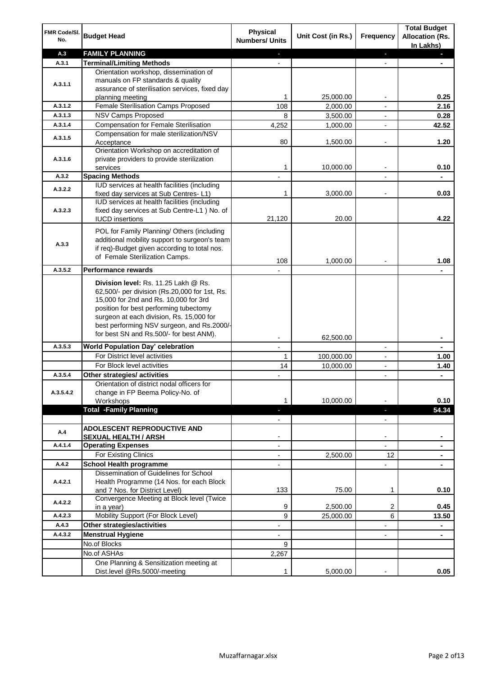| FMR Code/SI.<br>No. | <b>Budget Head</b>                                                                                                                                                                                                                                                 | <b>Physical</b><br><b>Numbers/ Units</b> | Unit Cost (in Rs.) | <b>Frequency</b>         | <b>Total Budget</b><br><b>Allocation (Rs.</b><br>In Lakhs) |
|---------------------|--------------------------------------------------------------------------------------------------------------------------------------------------------------------------------------------------------------------------------------------------------------------|------------------------------------------|--------------------|--------------------------|------------------------------------------------------------|
| A.3                 | <b>FAMILY PLANNING</b>                                                                                                                                                                                                                                             | $\sim$                                   |                    | ÷.                       | a.                                                         |
| A.3.1               | <b>Terminal/Limiting Methods</b>                                                                                                                                                                                                                                   |                                          |                    | $\blacksquare$           |                                                            |
|                     | Orientation workshop, dissemination of                                                                                                                                                                                                                             |                                          |                    |                          |                                                            |
| A.3.1.1             | manuals on FP standards & quality                                                                                                                                                                                                                                  |                                          |                    |                          |                                                            |
|                     | assurance of sterilisation services, fixed day<br>planning meeting                                                                                                                                                                                                 | 1                                        | 25,000.00          | $\overline{\phantom{a}}$ | 0.25                                                       |
| A.3.1.2             | Female Sterilisation Camps Proposed                                                                                                                                                                                                                                | 108                                      | 2,000.00           | $\overline{\phantom{a}}$ | 2.16                                                       |
| A.3.1.3             | <b>NSV Camps Proposed</b>                                                                                                                                                                                                                                          | 8                                        | 3,500.00           | $\overline{\phantom{a}}$ | 0.28                                                       |
| A.3.1.4             | <b>Compensation for Female Sterilisation</b>                                                                                                                                                                                                                       | 4,252                                    | 1,000.00           |                          | 42.52                                                      |
|                     | Compensation for male sterilization/NSV                                                                                                                                                                                                                            |                                          |                    |                          |                                                            |
| A.3.1.5             | Acceptance                                                                                                                                                                                                                                                         | 80                                       | 1,500.00           |                          | 1.20                                                       |
|                     | Orientation Workshop on accreditation of                                                                                                                                                                                                                           |                                          |                    |                          |                                                            |
| A.3.1.6             | private providers to provide sterilization                                                                                                                                                                                                                         |                                          |                    |                          |                                                            |
|                     | services                                                                                                                                                                                                                                                           | 1                                        | 10,000.00          |                          | 0.10                                                       |
| A.3.2               | <b>Spacing Methods</b>                                                                                                                                                                                                                                             |                                          |                    |                          |                                                            |
| A.3.2.2             | IUD services at health facilities (including                                                                                                                                                                                                                       |                                          |                    |                          |                                                            |
|                     | fixed day services at Sub Centres-L1)                                                                                                                                                                                                                              | 1                                        | 3,000.00           | $\overline{\phantom{a}}$ | 0.03                                                       |
|                     | IUD services at health facilities (including                                                                                                                                                                                                                       |                                          |                    |                          |                                                            |
| A.3.2.3             | fixed day services at Sub Centre-L1 ) No. of                                                                                                                                                                                                                       | 21,120                                   | 20.00              |                          | 4.22                                                       |
|                     | <b>IUCD</b> insertions                                                                                                                                                                                                                                             |                                          |                    |                          |                                                            |
|                     | POL for Family Planning/ Others (including                                                                                                                                                                                                                         |                                          |                    |                          |                                                            |
| A.3.3               | additional mobility support to surgeon's team                                                                                                                                                                                                                      |                                          |                    |                          |                                                            |
|                     | if req)-Budget given according to total nos.                                                                                                                                                                                                                       |                                          |                    |                          |                                                            |
|                     | of Female Sterilization Camps.                                                                                                                                                                                                                                     | 108                                      | 1,000.00           |                          | 1.08                                                       |
| A.3.5.2             | <b>Performance rewards</b>                                                                                                                                                                                                                                         |                                          |                    |                          |                                                            |
|                     | Division level: Rs. 11.25 Lakh @ Rs.<br>62,500/- per division (Rs.20,000 for 1st, Rs.<br>15,000 for 2nd and Rs. 10,000 for 3rd<br>position for best performing tubectomy<br>surgeon at each division, Rs. 15,000 for<br>best performing NSV surgeon, and Rs.2000/- |                                          |                    |                          |                                                            |
|                     | for best SN and Rs.500/- for best ANM).                                                                                                                                                                                                                            | $\overline{\phantom{a}}$                 | 62,500.00          |                          | ٠                                                          |
| A.3.5.3             | World Population Day' celebration                                                                                                                                                                                                                                  | $\overline{\phantom{a}}$                 |                    | $\overline{\phantom{a}}$ | ۰                                                          |
|                     | For District level activities                                                                                                                                                                                                                                      | 1                                        | 100,000.00         | $\overline{\phantom{a}}$ | 1.00                                                       |
|                     | For Block level activities                                                                                                                                                                                                                                         | 14                                       | 10,000.00          |                          | 1.40                                                       |
| A.3.5.4             | Other strategies/ activities                                                                                                                                                                                                                                       |                                          |                    | $\overline{\phantom{a}}$ | ٠                                                          |
|                     | Orientation of district nodal officers for                                                                                                                                                                                                                         |                                          |                    |                          |                                                            |
| A.3.5.4.2           | change in FP Beema Policy-No. of                                                                                                                                                                                                                                   |                                          |                    |                          |                                                            |
|                     | Workshops                                                                                                                                                                                                                                                          | 1                                        | 10,000.00          |                          | 0.10                                                       |
|                     | <b>Total -Family Planning</b>                                                                                                                                                                                                                                      | ÷.                                       |                    | $\overline{\phantom{a}}$ | 54.34                                                      |
|                     |                                                                                                                                                                                                                                                                    | $\overline{\phantom{a}}$                 |                    | $\blacksquare$           |                                                            |
| A.4                 | <b>ADOLESCENT REPRODUCTIVE AND</b>                                                                                                                                                                                                                                 |                                          |                    |                          |                                                            |
|                     | <b>SEXUAL HEALTH / ARSH</b>                                                                                                                                                                                                                                        |                                          |                    | $\blacksquare$           |                                                            |
| A.4.1.4             | <b>Operating Expenses</b>                                                                                                                                                                                                                                          |                                          |                    |                          |                                                            |
|                     | For Existing Clinics                                                                                                                                                                                                                                               |                                          | 2,500.00           | 12                       |                                                            |
| A.4.2               | <b>School Health programme</b>                                                                                                                                                                                                                                     |                                          |                    |                          |                                                            |
| A.4.2.1             | Dissemination of Guidelines for School<br>Health Programme (14 Nos. for each Block                                                                                                                                                                                 |                                          |                    |                          |                                                            |
|                     | and 7 Nos. for District Level)                                                                                                                                                                                                                                     | 133                                      | 75.00              | 1                        | 0.10                                                       |
| A.4.2.2             | Convergence Meeting at Block level (Twice<br>in a year)                                                                                                                                                                                                            | 9                                        | 2,500.00           | 2                        | 0.45                                                       |
| A.4.2.3             | Mobility Support (For Block Level)                                                                                                                                                                                                                                 | 9                                        | 25,000.00          | 6                        | 13.50                                                      |
| A.4.3               | Other strategies/activities                                                                                                                                                                                                                                        | $\overline{\phantom{a}}$                 |                    | -                        | ۰                                                          |
| A.4.3.2             | <b>Menstrual Hygiene</b>                                                                                                                                                                                                                                           | $\overline{\phantom{a}}$                 |                    | $\blacksquare$           | $\blacksquare$                                             |
|                     | No.of Blocks                                                                                                                                                                                                                                                       | 9                                        |                    |                          |                                                            |
|                     | No.of ASHAs                                                                                                                                                                                                                                                        | 2,267                                    |                    |                          |                                                            |
|                     | One Planning & Sensitization meeting at                                                                                                                                                                                                                            |                                          |                    |                          |                                                            |
|                     | Dist.level @Rs.5000/-meeting                                                                                                                                                                                                                                       | 1                                        | 5,000.00           |                          | 0.05                                                       |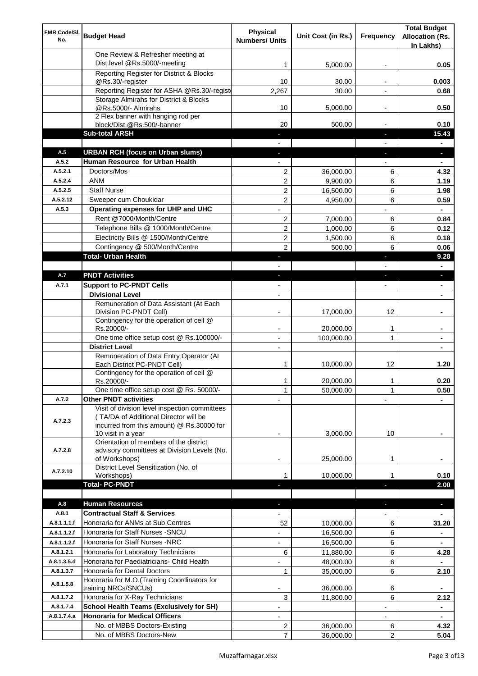| FMR Code/SI.<br>No. | <b>Budget Head</b>                                                     | Physical<br><b>Numbers/ Units</b> | Unit Cost (in Rs.) | Frequency                | <b>Total Budget</b><br><b>Allocation (Rs.</b> |
|---------------------|------------------------------------------------------------------------|-----------------------------------|--------------------|--------------------------|-----------------------------------------------|
|                     |                                                                        |                                   |                    |                          | In Lakhs)                                     |
|                     | One Review & Refresher meeting at<br>Dist.level @Rs.5000/-meeting      |                                   |                    |                          |                                               |
|                     | Reporting Register for District & Blocks                               | 1                                 | 5,000.00           |                          | 0.05                                          |
|                     | @Rs.30/-register                                                       | 10                                | 30.00              |                          | 0.003                                         |
|                     | Reporting Register for ASHA @Rs.30/-regist                             | 2,267                             | 30.00              |                          | 0.68                                          |
|                     | Storage Almirahs for District & Blocks                                 |                                   |                    |                          |                                               |
|                     | @Rs.5000/- Almirahs                                                    | 10                                | 5,000.00           | $\overline{\phantom{a}}$ | 0.50                                          |
|                     | 2 Flex banner with hanging rod per                                     |                                   |                    |                          |                                               |
|                     | block/Dist.@Rs.500/-banner<br><b>Sub-total ARSH</b>                    | 20                                | 500.00             | $\sim$                   | 0.10<br>15.43                                 |
|                     |                                                                        |                                   |                    |                          |                                               |
| A.5                 | <b>URBAN RCH (focus on Urban slums)</b>                                |                                   |                    |                          | н.                                            |
| A.5.2               | Human Resource for Urban Health                                        |                                   |                    |                          |                                               |
| A.5.2.1             | Doctors/Mos                                                            | $\overline{2}$                    | 36,000.00          | 6                        | 4.32                                          |
| A.5.2.4             | <b>ANM</b>                                                             | $\overline{c}$                    | 9,900.00           | 6                        | 1.19                                          |
| A.5.2.5             | <b>Staff Nurse</b>                                                     | 2                                 | 16,500.00          | 6                        | 1.98                                          |
| A.5.2.12            | Sweeper cum Choukidar                                                  | 2                                 | 4,950.00           | 6                        | 0.59                                          |
| A.5.3               | Operating expenses for UHP and UHC                                     |                                   |                    |                          | $\blacksquare$                                |
|                     | Rent @7000/Month/Centre                                                | 2                                 | 7,000.00           | 6                        | 0.84                                          |
|                     | Telephone Bills @ 1000/Month/Centre                                    | $\overline{c}$                    | 1,000.00           | 6                        | 0.12                                          |
|                     | Electricity Bills @ 1500/Month/Centre                                  | $\overline{c}$                    | 1,500.00           | 6                        | 0.18                                          |
|                     | Contingency @ 500/Month/Centre                                         | $\overline{2}$                    | 500.00             | 6                        | 0.06                                          |
|                     | <b>Total- Urban Health</b>                                             | ÷.                                |                    | ×                        | 9.28                                          |
|                     |                                                                        |                                   |                    |                          | $\blacksquare$                                |
| A.7                 | <b>PNDT Activities</b>                                                 | ٠                                 |                    | ×                        | ٠                                             |
| A.7.1               | <b>Support to PC-PNDT Cells</b><br><b>Divisional Level</b>             | $\blacksquare$                    |                    | $\blacksquare$           | ٠                                             |
|                     | Remuneration of Data Assistant (At Each                                | $\blacksquare$                    |                    |                          |                                               |
|                     | Division PC-PNDT Cell)                                                 |                                   | 17,000.00          | 12                       |                                               |
|                     | Contingency for the operation of cell @                                |                                   |                    |                          |                                               |
|                     | Rs.20000/-                                                             |                                   | 20,000.00          | 1                        |                                               |
|                     | One time office setup cost @ Rs.100000/-                               |                                   | 100,000.00         | 1                        |                                               |
|                     | <b>District Level</b>                                                  | $\overline{\phantom{a}}$          |                    |                          |                                               |
|                     | Remuneration of Data Entry Operator (At                                |                                   |                    |                          |                                               |
|                     | Each District PC-PNDT Cell)<br>Contingency for the operation of cell @ | 1                                 | 10,000.00          | 12                       | 1.20                                          |
|                     | Rs.20000/-                                                             | 1                                 | 20,000.00          | 1                        | 0.20                                          |
|                     | One time office setup cost @ Rs. 50000/-                               | $\mathbf{1}$                      | 50,000.00          | 1                        | 0.50                                          |
| A.7.2               | <b>Other PNDT activities</b>                                           |                                   |                    |                          |                                               |
|                     | Visit of division level inspection committees                          |                                   |                    |                          |                                               |
| A.7.2.3             | (TA/DA of Additional Director will be                                  |                                   |                    |                          |                                               |
|                     | incurred from this amount) @ Rs.30000 for<br>10 visit in a year        |                                   | 3,000.00           | 10                       |                                               |
|                     | Orientation of members of the district                                 |                                   |                    |                          |                                               |
| A.7.2.8             | advisory committees at Division Levels (No.                            |                                   |                    |                          |                                               |
|                     | of Workshops)                                                          | ۰                                 | 25,000.00          | 1                        |                                               |
| A.7.2.10            | District Level Sensitization (No. of                                   |                                   |                    |                          |                                               |
|                     | Workshops)<br><b>Total- PC-PNDT</b>                                    |                                   | 10,000.00          |                          | 0.10<br>2.00                                  |
|                     |                                                                        |                                   |                    |                          |                                               |
| A.8                 | <b>Human Resources</b>                                                 |                                   |                    |                          | ÷.                                            |
| A.8.1               | <b>Contractual Staff &amp; Services</b>                                |                                   |                    |                          |                                               |
| A.8.1.1.1.f         | Honoraria for ANMs at Sub Centres                                      | 52                                | 10,000.00          | 6                        | 31.20                                         |
| A.8.1.1.2.f         | Honoraria for Staff Nurses - SNCU                                      |                                   | 16,500.00          | 6                        |                                               |
| A.8.1.1.2.f         | Honoraria for Staff Nurses -NRC                                        |                                   | 16,500.00          | 6                        |                                               |
| A.8.1.2.1           | Honoraria for Laboratory Technicians                                   | 6                                 | 11,880.00          | 6                        | 4.28                                          |
| A.8.1.3.5.d         | Honoraria for Paediatricians- Child Health                             |                                   | 48,000.00          | 6                        |                                               |
| A.8.1.3.7           | Honoraria for Dental Doctors                                           | $\mathbf{1}$                      | 35,000.00          | 6                        | 2.10                                          |
| A.8.1.5.8           | Honoraria for M.O. (Training Coordinators for                          |                                   |                    |                          |                                               |
|                     | training NRCs/SNCUs)                                                   |                                   | 36,000.00          | 6                        |                                               |
| A.8.1.7.2           | Honoraria for X-Ray Technicians                                        | 3                                 | 11,800.00          | 6                        | 2.12                                          |
| A.8.1.7.4           | <b>School Health Teams (Exclusively for SH)</b>                        |                                   |                    |                          | $\blacksquare$                                |
| A.8.1.7.4.a         | <b>Honoraria for Medical Officers</b>                                  |                                   |                    |                          | ٠                                             |
|                     | No. of MBBS Doctors-Existing                                           | 2                                 | 36,000.00          | 6                        | 4.32                                          |
|                     | No. of MBBS Doctors-New                                                | $\overline{7}$                    | 36,000.00          | 2                        | 5.04                                          |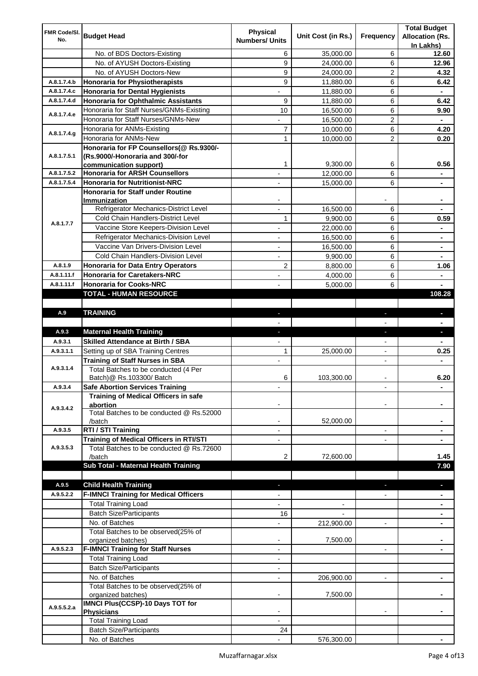| FMR Code/SI. |                                                                 | <b>Physical</b>          |                    |                          | <b>Total Budget</b>    |
|--------------|-----------------------------------------------------------------|--------------------------|--------------------|--------------------------|------------------------|
| No.          | <b>Budget Head</b>                                              | <b>Numbers/ Units</b>    | Unit Cost (in Rs.) | Frequency                | <b>Allocation (Rs.</b> |
|              |                                                                 |                          |                    |                          | In Lakhs)              |
|              | No. of BDS Doctors-Existing                                     | 6                        | 35,000.00          | 6                        | 12.60                  |
|              | No. of AYUSH Doctors-Existing                                   | 9                        | 24,000.00          | 6                        | 12.96                  |
|              | No. of AYUSH Doctors-New                                        | 9                        | 24,000.00          | 2                        | 4.32                   |
| A.8.1.7.4.b  | <b>Honoraria for Physiotherapists</b>                           | 9                        | 11,880.00          | 6                        | 6.42                   |
| A.8.1.7.4.c  | <b>Honoraria for Dental Hygienists</b>                          |                          | 11,880.00          | 6                        |                        |
| A.8.1.7.4.d  | <b>Honoraria for Ophthalmic Assistants</b>                      | 9                        | 11,880.00          | 6                        | 6.42                   |
| A.8.1.7.4.e  | Honoraria for Staff Nurses/GNMs-Existing                        | 10                       | 16,500.00          | 6                        | 9.90                   |
|              | Honoraria for Staff Nurses/GNMs-New                             |                          | 16,500.00          | $\overline{c}$           |                        |
| A.8.1.7.4.g  | Honoraria for ANMs-Existing                                     | 7                        | 10,000.00          | 6                        | 4.20                   |
|              | Honoraria for ANMs-New                                          | 1                        | 10,000.00          | 2                        | 0.20                   |
|              | Honoraria for FP Counsellors(@ Rs.9300/-                        |                          |                    |                          |                        |
| A.8.1.7.5.1  | (Rs.9000/-Honoraria and 300/-for                                | 1                        | 9,300.00           | 6                        | 0.56                   |
| A.8.1.7.5.2  | communication support)<br><b>Honoraria for ARSH Counsellors</b> |                          |                    | 6                        |                        |
| A.8.1.7.5.4  | <b>Honoraria for Nutritionist-NRC</b>                           |                          | 12,000.00          | 6                        |                        |
|              | Honoraria for Staff under Routine                               |                          | 15,000.00          |                          |                        |
|              | Immunization                                                    |                          |                    |                          |                        |
|              | Refrigerator Mechanics-District Level                           |                          | 16,500.00          | 6                        |                        |
|              | Cold Chain Handlers-District Level                              | 1                        | 9,900.00           | 6                        | 0.59                   |
| A.8.1.7.7    | Vaccine Store Keepers-Division Level                            |                          | 22,000.00          | 6                        |                        |
|              | Refrigerator Mechanics-Division Level                           | $\blacksquare$           | 16,500.00          | 6                        | ۰                      |
|              | Vaccine Van Drivers-Division Level                              |                          |                    |                          |                        |
|              | Cold Chain Handlers-Division Level                              | ÷,                       | 16,500.00          | 6                        | $\blacksquare$         |
|              |                                                                 | $\overline{\phantom{a}}$ | 9,900.00           | 6                        | ۰                      |
| A.8.1.9      | <b>Honoraria for Data Entry Operators</b>                       | 2                        | 8,800.00           | 6                        | 1.06                   |
| A.8.1.11.f   | <b>Honoraria for Caretakers-NRC</b>                             | $\blacksquare$           | 4,000.00           | 6                        | ٠                      |
| A.8.1.11.f   | <b>Honoraria for Cooks-NRC</b>                                  |                          | 5,000.00           | 6                        |                        |
|              | TOTAL - HUMAN RESOURCE                                          |                          |                    |                          | 108.28                 |
|              |                                                                 |                          |                    |                          |                        |
| A.9          | <b>TRAINING</b>                                                 | ٠                        |                    | ٠                        | $\blacksquare$         |
| A.9.3        | <b>Maternal Health Training</b>                                 |                          |                    |                          |                        |
| A.9.3.1      | <b>Skilled Attendance at Birth / SBA</b>                        | ٠                        |                    | ٠                        | ٠                      |
|              |                                                                 |                          |                    |                          |                        |
|              |                                                                 |                          |                    |                          |                        |
| A.9.3.1.1    | Setting up of SBA Training Centres                              | 1                        | 25,000.00          | $\overline{\phantom{a}}$ | 0.25                   |
|              | <b>Training of Staff Nurses in SBA</b>                          | $\overline{\phantom{a}}$ |                    | $\overline{\phantom{0}}$ |                        |
| A.9.3.1.4    | Total Batches to be conducted (4 Per                            |                          |                    |                          |                        |
|              | Batch) @ Rs.103300/ Batch                                       | 6                        | 103,300.00         |                          | 6.20                   |
| A.9.3.4      | <b>Safe Abortion Services Training</b>                          |                          |                    |                          |                        |
|              | Training of Medical Officers in safe                            |                          |                    |                          |                        |
| A.9.3.4.2    | abortion<br>Total Batches to be conducted @ Rs.52000            |                          |                    |                          |                        |
|              | /batch                                                          |                          | 52,000.00          |                          |                        |
| A.9.3.5      | RTI / STI Training                                              |                          |                    | $\overline{a}$           |                        |
|              | Training of Medical Officers in RTI/STI                         |                          |                    |                          |                        |
| A.9.3.5.3    | Total Batches to be conducted @ Rs.72600                        |                          |                    |                          |                        |
|              | /batch                                                          | 2                        | 72,600.00          |                          | 1.45                   |
|              | Sub Total - Maternal Health Training                            |                          |                    |                          | 7.90                   |
|              |                                                                 |                          |                    |                          |                        |
| A.9.5        | <b>Child Health Training</b>                                    |                          |                    |                          |                        |
| A.9.5.2.2    | <b>F-IMNCI Training for Medical Officers</b>                    |                          |                    |                          |                        |
|              | <b>Total Training Load</b>                                      |                          |                    |                          |                        |
|              | <b>Batch Size/Participants</b>                                  | 16                       |                    |                          |                        |
|              | No. of Batches                                                  |                          | 212,900.00         | $\overline{a}$           |                        |
|              | Total Batches to be observed(25% of                             |                          |                    |                          |                        |
|              | organized batches)                                              | $\overline{\phantom{a}}$ | 7,500.00           |                          |                        |
| A.9.5.2.3    | <b>F-IMNCI Training for Staff Nurses</b>                        | $\overline{\phantom{a}}$ |                    | $\overline{\phantom{a}}$ | ۰                      |
|              | <b>Total Training Load</b>                                      | $\overline{\phantom{a}}$ |                    |                          |                        |
|              | <b>Batch Size/Participants</b>                                  |                          |                    |                          |                        |
|              | No. of Batches                                                  | $\overline{\phantom{a}}$ | 206,900.00         | $\overline{\phantom{a}}$ | ۰                      |
|              | Total Batches to be observed(25% of                             |                          |                    |                          |                        |
|              | organized batches)                                              |                          | 7,500.00           |                          |                        |
| A.9.5.5.2.a  | IMNCI Plus(CCSP)-10 Days TOT for                                |                          |                    |                          |                        |
|              | <b>Physicians</b>                                               |                          |                    |                          |                        |
|              | <b>Total Training Load</b>                                      |                          |                    |                          |                        |
|              | <b>Batch Size/Participants</b><br>No. of Batches                | 24                       | 576,300.00         |                          |                        |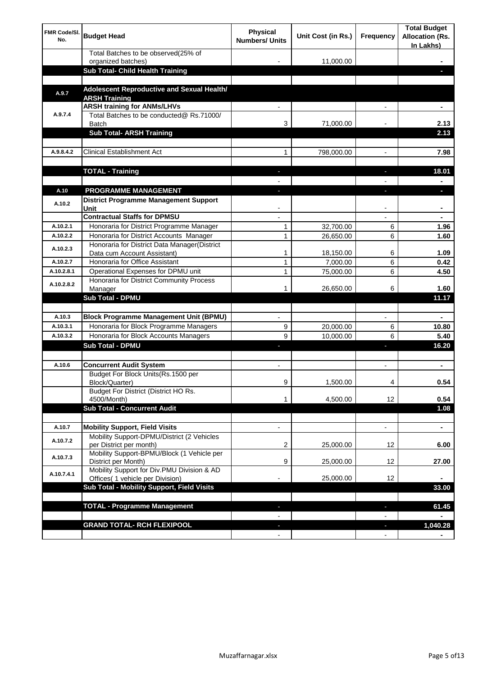| <b>FMR Code/SI.</b><br>No. | <b>Budget Head</b>                                                          | Physical<br><b>Numbers/ Units</b> | Unit Cost (in Rs.) | Frequency                | <b>Total Budget</b><br><b>Allocation (Rs.</b><br>In Lakhs) |
|----------------------------|-----------------------------------------------------------------------------|-----------------------------------|--------------------|--------------------------|------------------------------------------------------------|
|                            | Total Batches to be observed(25% of<br>organized batches)                   |                                   | 11,000.00          |                          |                                                            |
|                            | Sub Total- Child Health Training                                            |                                   |                    |                          |                                                            |
|                            |                                                                             |                                   |                    |                          |                                                            |
| A.9.7                      | Adolescent Reproductive and Sexual Health/<br><b>ARSH Training</b>          |                                   |                    |                          |                                                            |
|                            | <b>ARSH training for ANMs/LHVs</b>                                          |                                   |                    |                          |                                                            |
| A.9.7.4                    | Total Batches to be conducted@ Rs.71000/<br>Batch                           | 3                                 | 71,000.00          |                          | 2.13                                                       |
|                            | <b>Sub Total- ARSH Training</b>                                             |                                   |                    |                          | 2.13                                                       |
| A.9.8.4.2                  | <b>Clinical Establishment Act</b>                                           | 1                                 | 798,000.00         |                          | 7.98                                                       |
|                            |                                                                             |                                   |                    |                          |                                                            |
|                            | <b>TOTAL - Training</b>                                                     |                                   |                    |                          | 18.01                                                      |
|                            |                                                                             |                                   |                    |                          |                                                            |
| A.10                       | <b>PROGRAMME MANAGEMENT</b>                                                 |                                   |                    |                          |                                                            |
| A.10.2                     | <b>District Programme Management Support</b><br>Unit                        |                                   |                    |                          |                                                            |
|                            | <b>Contractual Staffs for DPMSU</b>                                         |                                   |                    |                          | ٠                                                          |
| A.10.2.1                   | Honoraria for District Programme Manager                                    | 1                                 | 32,700.00          | 6                        | 1.96                                                       |
| A.10.2.2                   | Honoraria for District Accounts Manager                                     | 1                                 | 26,650.00          | 6                        | 1.60                                                       |
| A.10.2.3                   | Honoraria for District Data Manager(District<br>Data cum Account Assistant) | 1                                 | 18,150.00          | 6                        | 1.09                                                       |
| A.10.2.7                   | Honoraria for Office Assistant                                              | 1                                 | 7,000.00           | 6                        | 0.42                                                       |
| A.10.2.8.1                 | Operational Expenses for DPMU unit                                          | 1                                 | 75,000.00          | 6                        | 4.50                                                       |
| A.10.2.8.2                 | Honoraria for District Community Process<br>Manager                         | 1                                 | 26,650.00          | 6                        | 1.60                                                       |
|                            | <b>Sub Total - DPMU</b>                                                     |                                   |                    |                          | 11.17                                                      |
|                            |                                                                             |                                   |                    |                          |                                                            |
| A.10.3                     | <b>Block Programme Management Unit (BPMU)</b>                               |                                   |                    | $\overline{\phantom{a}}$ | ۰                                                          |
| A.10.3.1                   | Honoraria for Block Programme Managers                                      | 9                                 | 20,000.00          | 6                        | 10.80                                                      |
| A.10.3.2                   | Honoraria for Block Accounts Managers                                       | 9                                 | 10,000.00          | 6                        | 5.40                                                       |
|                            | <b>Sub Total - DPMU</b>                                                     |                                   |                    | r                        | 16.20                                                      |
| A.10.6                     | <b>Concurrent Audit System</b>                                              |                                   |                    |                          | ۰                                                          |
|                            | Budget For Block Units(Rs.1500 per<br>Block/Quarter)                        | 9                                 | 1,500.00           |                          | 0.54                                                       |
|                            | Budget For District (District HO Rs.                                        |                                   |                    |                          |                                                            |
|                            | 4500/Month)<br><b>Sub Total - Concurrent Audit</b>                          | 1                                 | 4,500.00           | 12                       | 0.54                                                       |
|                            |                                                                             |                                   |                    |                          | 1.08                                                       |
| A.10.7                     | <b>Mobility Support, Field Visits</b>                                       |                                   |                    | $\overline{\phantom{a}}$ | $\blacksquare$                                             |
| A.10.7.2                   | Mobility Support-DPMU/District (2 Vehicles<br>per District per month)       | 2                                 | 25,000.00          | 12                       | 6.00                                                       |
| A.10.7.3                   | Mobility Support-BPMU/Block (1 Vehicle per                                  |                                   |                    |                          |                                                            |
|                            | District per Month)<br>Mobility Support for Div.PMU Division & AD           | 9                                 | 25,000.00          | 12                       | 27.00                                                      |
| A.10.7.4.1                 | Offices( 1 vehicle per Division)                                            |                                   | 25,000.00          | 12                       |                                                            |
|                            | Sub Total - Mobility Support, Field Visits                                  |                                   |                    |                          | 33.00                                                      |
|                            |                                                                             |                                   |                    |                          |                                                            |
|                            | <b>TOTAL - Programme Management</b>                                         |                                   |                    | ı                        | 61.45                                                      |
|                            | <b>GRAND TOTAL- RCH FLEXIPOOL</b>                                           | $\blacksquare$                    |                    | ٠                        | 1,040.28                                                   |
|                            |                                                                             | $\blacksquare$                    |                    | $\overline{\phantom{a}}$ |                                                            |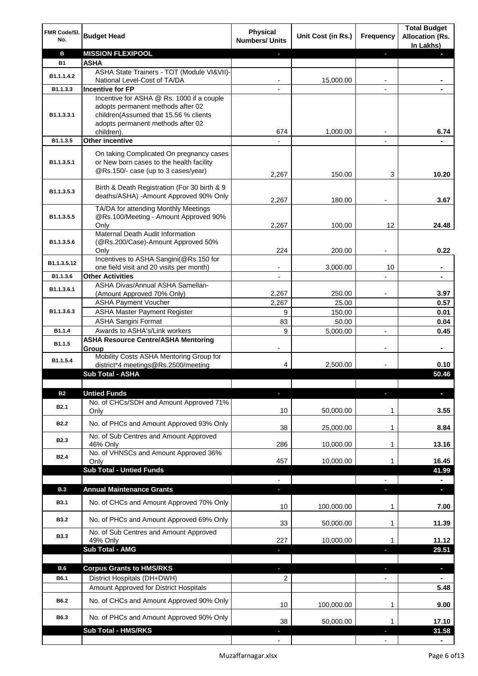| FMR Code/SI.<br>No.           | <b>Budget Head</b>                                                                                                          | <b>Physical</b><br><b>Numbers/ Units</b> | Unit Cost (in Rs.) | Frequency                | <b>Total Budget</b><br><b>Allocation (Rs.</b><br>In Lakhs) |
|-------------------------------|-----------------------------------------------------------------------------------------------------------------------------|------------------------------------------|--------------------|--------------------------|------------------------------------------------------------|
| в                             | <b>MISSION FLEXIPOOL</b>                                                                                                    |                                          |                    | J,                       |                                                            |
| <b>B1</b>                     | <b>ASHA</b>                                                                                                                 |                                          |                    |                          |                                                            |
| B1.1.1.4.2                    | ASHA State Trainers - TOT (Module VI&VII)-                                                                                  |                                          |                    |                          |                                                            |
| B1.1.3.3                      | National Level-Cost of TA/DA<br><b>Incentive for FP</b>                                                                     |                                          | 15,000.00          |                          |                                                            |
|                               | Incentive for ASHA @ Rs. 1000 if a couple                                                                                   |                                          |                    |                          |                                                            |
| B1.1.3.3.1                    | adopts permanent methods after 02<br>children(Assumed that 15.56 % clients<br>adopts permanent methods after 02             |                                          |                    |                          |                                                            |
|                               | children).                                                                                                                  | 674                                      | 1,000.00           |                          | 6.74                                                       |
| B1.1.3.5                      | <b>Other incentive</b>                                                                                                      |                                          |                    | $\blacksquare$           |                                                            |
| B1.1.3.5.1                    | On taking Complicated On pregnancy cases<br>or New born cases to the health facility<br>@Rs.150/- case (up to 3 cases/year) | 2,267                                    | 150.00             | 3                        | 10.20                                                      |
| B1.1.3.5.3                    | Birth & Death Registration (For 30 birth & 9<br>deaths/ASHA) - Amount Approved 90% Only                                     | 2,267                                    | 180.00             |                          | 3.67                                                       |
|                               | TA/DA for attending Monthly Meetings                                                                                        |                                          |                    |                          |                                                            |
| B1.1.3.5.5                    | @Rs.100/Meeting - Amount Approved 90%<br>Only                                                                               | 2,267                                    | 100.00             | 12                       | 24.48                                                      |
|                               | Maternal Death Audit Information                                                                                            |                                          |                    |                          |                                                            |
| B1.1.3.5.6                    | (@Rs.200/Case)-Amount Approved 50%                                                                                          |                                          |                    |                          |                                                            |
|                               | Only<br>Incentives to ASHA Sangini(@Rs.150 for                                                                              | 224                                      | 200.00             |                          | 0.22                                                       |
| B1.1.3.5.12                   | one field visit and 20 visits per month)                                                                                    |                                          | 3,000.00           | 10                       | ä,                                                         |
| B1.1.3.6                      | <b>Other Activities</b>                                                                                                     | $\overline{\phantom{a}}$                 |                    | $\overline{a}$           | $\blacksquare$                                             |
| B1.1.3.6.1                    | ASHA Divas/Annual ASHA Samellan-                                                                                            |                                          |                    |                          |                                                            |
|                               | (Amount Approved 70% Only)                                                                                                  | 2,267                                    | 250.00             |                          | 3.97                                                       |
|                               | <b>ASHA Payment Voucher</b>                                                                                                 | 2,267                                    | 25.00              |                          | 0.57                                                       |
| B1.1.3.6.3                    | <b>ASHA Master Payment Register</b><br><b>ASHA Sangini Format</b>                                                           | 9<br>83                                  | 150.00<br>50.00    |                          | 0.01<br>0.04                                               |
| B1.1.4                        | Awards to ASHA's/Link workers                                                                                               | 9                                        | 5,000.00           | $\overline{a}$           | 0.45                                                       |
|                               | <b>ASHA Resource Centre/ASHA Mentoring</b>                                                                                  |                                          |                    |                          |                                                            |
| B1.1.5                        | Group<br>Mobility Costs ASHA Mentoring Group for                                                                            | $\overline{\phantom{a}}$                 |                    | $\overline{\phantom{a}}$ | ٠                                                          |
| B1.1.5.4                      | district*4 meetings@Rs.2500/meeting                                                                                         | 4                                        | 2,500.00           |                          | 0.10                                                       |
|                               | <b>Sub Total - ASHA</b>                                                                                                     |                                          |                    |                          | 50.46                                                      |
|                               |                                                                                                                             |                                          |                    |                          |                                                            |
| <b>B2</b><br>B <sub>2.1</sub> | <b>Untied Funds</b><br>No. of CHCs/SDH and Amount Approved 71%<br>Only                                                      | ı.<br>10                                 | 50,000.00          | r<br>1                   | 3.55                                                       |
| <b>B2.2</b>                   | No. of PHCs and Amount Approved 93% Only                                                                                    |                                          |                    |                          |                                                            |
|                               | No. of Sub Centres and Amount Approved                                                                                      | 38                                       | 25,000.00          | 1                        | 8.84                                                       |
| <b>B2.3</b>                   | 46% Only                                                                                                                    | 286                                      | 10,000.00          | 1                        | 13.16                                                      |
| <b>B2.4</b>                   | No. of VHNSCs and Amount Approved 36%                                                                                       |                                          |                    |                          |                                                            |
|                               | Only<br><b>Sub Total - Untied Funds</b>                                                                                     | 457                                      | 10,000.00          | 1                        | 16.45<br>41.99                                             |
|                               |                                                                                                                             |                                          |                    |                          |                                                            |
| <b>B.3</b>                    | <b>Annual Maintenance Grants</b>                                                                                            | J,                                       |                    | T                        | $\overline{\phantom{a}}$                                   |
| <b>B3.1</b>                   | No. of CHCs and Amount Approved 70% Only                                                                                    | 10                                       | 100,000.00         | 1                        | 7.00                                                       |
| <b>B3.2</b>                   | No. of PHCs and Amount Approved 69% Only                                                                                    | 33                                       | 50,000.00          | 1                        | 11.39                                                      |
| <b>B3.3</b>                   | No. of Sub Centres and Amount Approved<br>49% Only                                                                          | 227                                      | 10,000.00          | 1                        | 11.12                                                      |
|                               | <b>Sub Total - AMG</b>                                                                                                      |                                          |                    | п                        | 29.51                                                      |
|                               |                                                                                                                             |                                          |                    |                          |                                                            |
| <b>B.6</b>                    | <b>Corpus Grants to HMS/RKS</b>                                                                                             | J,                                       |                    | ı                        | $\overline{\phantom{a}}$                                   |
| B6.1                          | District Hospitals (DH+DWH)                                                                                                 | 2                                        |                    | $\overline{\phantom{0}}$ |                                                            |
|                               | Amount Approved for District Hospitals                                                                                      |                                          |                    |                          | 5.48                                                       |
| B6.2                          | No. of CHCs and Amount Approved 90% Only                                                                                    | 10                                       | 100,000.00         | 1                        | 9.00                                                       |
| B6.3                          | No. of PHCs and Amount Approved 90% Only                                                                                    | 38                                       | 50,000.00          | 1                        | 17.10                                                      |
|                               | <b>Sub Total - HMS/RKS</b>                                                                                                  |                                          |                    |                          | 31.58                                                      |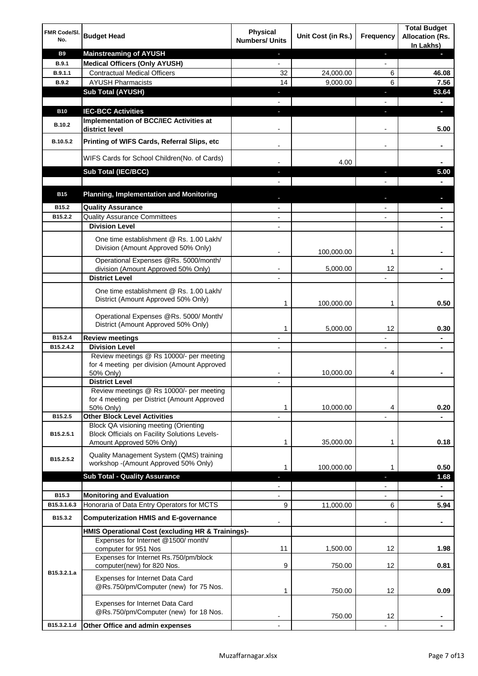| FMR Code/SI.<br>No. | <b>Budget Head</b>                                                                                   | Physical<br><b>Numbers/ Units</b>                    | Unit Cost (in Rs.) | <b>Frequency</b>              | <b>Total Budget</b><br><b>Allocation (Rs.</b><br>In Lakhs) |
|---------------------|------------------------------------------------------------------------------------------------------|------------------------------------------------------|--------------------|-------------------------------|------------------------------------------------------------|
| <b>B9</b>           | <b>Mainstreaming of AYUSH</b>                                                                        | ٠                                                    |                    | ٠                             |                                                            |
| B.9.1               | <b>Medical Officers (Only AYUSH)</b>                                                                 | $\overline{\phantom{a}}$                             |                    | $\overline{\phantom{a}}$      |                                                            |
| B.9.1.1             | <b>Contractual Medical Officers</b>                                                                  | 32                                                   | 24,000.00          | 6                             | 46.08                                                      |
| B.9.2               | <b>AYUSH Pharmacists</b>                                                                             | 14                                                   | 9,000.00           | 6                             | 7.56                                                       |
|                     | <b>Sub Total (AYUSH)</b>                                                                             | ٠                                                    |                    | п                             | 53.64                                                      |
|                     |                                                                                                      |                                                      |                    |                               |                                                            |
| <b>B10</b>          | <b>IEC-BCC Activities</b><br>Implementation of BCC/IEC Activities at                                 | $\blacksquare$                                       |                    | T                             | D.                                                         |
| <b>B.10.2</b>       | district level                                                                                       |                                                      |                    |                               | 5.00                                                       |
| B.10.5.2            | Printing of WIFS Cards, Referral Slips, etc                                                          | $\overline{\phantom{a}}$                             |                    | -                             | ٠                                                          |
|                     | WIFS Cards for School Children(No. of Cards)                                                         |                                                      | 4.00               |                               |                                                            |
|                     | Sub Total (IEC/BCC)                                                                                  |                                                      |                    |                               | 5.00                                                       |
|                     |                                                                                                      |                                                      |                    |                               |                                                            |
| <b>B15</b>          | <b>Planning, Implementation and Monitoring</b>                                                       |                                                      |                    |                               |                                                            |
| B15.2               | <b>Quality Assurance</b>                                                                             |                                                      |                    |                               |                                                            |
| B15.2.2             | <b>Quality Assurance Committees</b>                                                                  |                                                      |                    |                               |                                                            |
|                     | <b>Division Level</b>                                                                                |                                                      |                    |                               |                                                            |
|                     | One time establishment @ Rs. 1.00 Lakh/<br>Division (Amount Approved 50% Only)                       | $\blacksquare$                                       | 100,000.00         | 1                             |                                                            |
|                     | Operational Expenses @Rs. 5000/month/                                                                |                                                      |                    |                               |                                                            |
|                     | division (Amount Approved 50% Only)                                                                  |                                                      | 5,000.00           | 12                            |                                                            |
|                     | <b>District Level</b>                                                                                |                                                      |                    |                               |                                                            |
|                     | One time establishment @ Rs. 1.00 Lakh/<br>District (Amount Approved 50% Only)                       | 1                                                    | 100,000.00         | 1                             | 0.50                                                       |
|                     | Operational Expenses @Rs. 5000/ Month/<br>District (Amount Approved 50% Only)                        |                                                      |                    |                               |                                                            |
| B15.2.4             |                                                                                                      | 1                                                    | 5,000.00           | 12                            | 0.30                                                       |
| B15.2.4.2           | <b>Review meetings</b><br><b>Division Level</b>                                                      | $\overline{\phantom{a}}$<br>$\overline{\phantom{a}}$ |                    | -<br>$\overline{\phantom{a}}$ | $\blacksquare$<br>$\blacksquare$                           |
|                     | Review meetings @ Rs 10000/- per meeting<br>for 4 meeting per division (Amount Approved              |                                                      |                    |                               |                                                            |
|                     | 50% Only)                                                                                            |                                                      | 10,000.00          | 4                             |                                                            |
|                     | <b>District Level</b>                                                                                |                                                      |                    |                               |                                                            |
|                     | Review meetings @ Rs 10000/- per meeting<br>for 4 meeting per District (Amount Approved<br>50% Only) | 1                                                    | 10,000.00          | 4                             | 0.20                                                       |
| B15.2.5             | <b>Other Block Level Activities</b>                                                                  |                                                      |                    |                               |                                                            |
| B15.2.5.1           | Block QA visioning meeting (Orienting<br><b>Block Officials on Facility Solutions Levels-</b>        |                                                      |                    |                               |                                                            |
|                     | Amount Approved 50% Only)                                                                            | 1                                                    | 35,000.00          | 1                             | 0.18                                                       |
| B15.2.5.2           | Quality Management System (QMS) training<br>workshop - (Amount Approved 50% Only)                    | 1                                                    | 100,000.00         | 1                             | 0.50                                                       |
|                     | <b>Sub Total - Quality Assurance</b>                                                                 | T                                                    |                    | T                             | 1.68                                                       |
|                     |                                                                                                      |                                                      |                    |                               |                                                            |
| B15.3               | <b>Monitoring and Evaluation</b>                                                                     |                                                      |                    |                               | $\blacksquare$                                             |
| B15.3.1.6.3         | Honoraria of Data Entry Operators for MCTS                                                           | 9                                                    | 11,000.00          | 6                             | 5.94                                                       |
| B15.3.2             | <b>Computerization HMIS and E-governance</b>                                                         |                                                      |                    |                               |                                                            |
|                     | HMIS Operational Cost (excluding HR & Trainings)-                                                    |                                                      |                    |                               |                                                            |
|                     | Expenses for Internet @1500/month/<br>computer for 951 Nos                                           | 11                                                   | 1,500.00           | 12                            | 1.98                                                       |
|                     | Expenses for Internet Rs.750/pm/block<br>computer(new) for 820 Nos.                                  | 9                                                    | 750.00             | 12                            | 0.81                                                       |
| B15.3.2.1.a         | Expenses for Internet Data Card<br>@Rs.750/pm/Computer (new) for 75 Nos.                             | 1                                                    | 750.00             | 12                            | 0.09                                                       |
|                     | Expenses for Internet Data Card<br>@Rs.750/pm/Computer (new) for 18 Nos.                             |                                                      | 750.00             | 12                            |                                                            |
| B15.3.2.1.d         | Other Office and admin expenses                                                                      |                                                      |                    |                               |                                                            |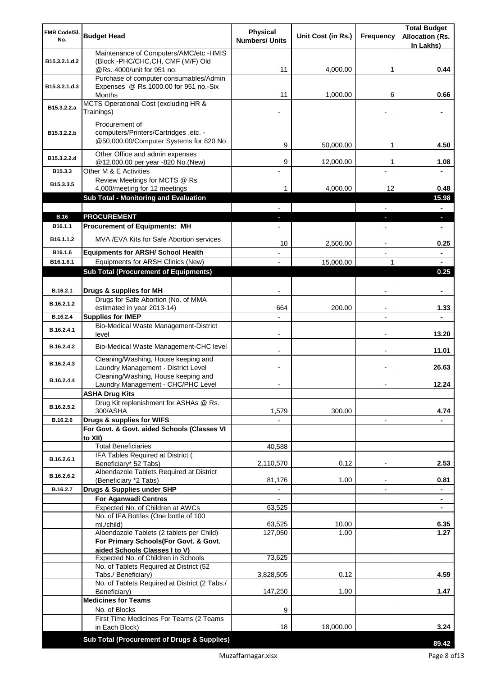| FMR Code/SI.<br>No.   | <b>Budget Head</b>                                                             | <b>Physical</b><br><b>Numbers/ Units</b> | Unit Cost (in Rs.) | <b>Frequency</b>         | <b>Total Budget</b><br><b>Allocation (Rs.</b> |
|-----------------------|--------------------------------------------------------------------------------|------------------------------------------|--------------------|--------------------------|-----------------------------------------------|
|                       | Maintenance of Computers/AMC/etc -HMIS                                         |                                          |                    |                          | In Lakhs)                                     |
| B15.3.2.1.d.2         | (Block -PHC/CHC, CH, CMF (M/F) Old                                             |                                          |                    |                          |                                               |
|                       | @Rs. 4000/unit for 951 no.                                                     | 11                                       | 4,000.00           | 1                        | 0.44                                          |
|                       | Purchase of computer consumables/Admin                                         |                                          |                    |                          |                                               |
| B15.3.2.1.d.3         | Expenses @ Rs.1000.00 for 951 no.-Six<br>Months                                | 11                                       | 1,000.00           | 6                        | 0.66                                          |
|                       | MCTS Operational Cost (excluding HR &                                          |                                          |                    |                          |                                               |
| B15.3.2.2.a           | Trainings)                                                                     |                                          |                    |                          |                                               |
|                       | Procurement of                                                                 |                                          |                    |                          |                                               |
| B15.3.2.2.b           | computers/Printers/Cartridges, etc. -                                          |                                          |                    |                          |                                               |
|                       | @50,000.00/Computer Systems for 820 No.                                        | 9                                        | 50,000.00          | 1                        | 4.50                                          |
| B15.3.2.2.d           | Other Office and admin expenses                                                |                                          |                    |                          |                                               |
|                       | @12,000.00 per year -820 No.(New)                                              | 9                                        | 12,000.00          | 1                        | 1.08                                          |
| B15.3.3               | Other M & E Activities                                                         |                                          |                    |                          |                                               |
| B15.3.3.5             | Review Meetings for MCTS @ Rs<br>4,000/meeting for 12 meetings                 | 1                                        | 4,000.00           | 12                       | 0.48                                          |
|                       | Sub Total - Monitoring and Evaluation                                          |                                          |                    |                          | 15.98                                         |
|                       |                                                                                |                                          |                    |                          | $\blacksquare$                                |
| <b>B.16</b>           | <b>PROCUREMENT</b>                                                             |                                          |                    |                          | ×.                                            |
| B <sub>16.1.1</sub>   | <b>Procurement of Equipments: MH</b>                                           |                                          |                    |                          | ٠                                             |
| B <sub>16.1.1.2</sub> | MVA/EVA Kits for Safe Abortion services                                        | 10                                       | 2,500.00           |                          | 0.25                                          |
| B16.1.6               | <b>Equipments for ARSH/ School Health</b>                                      |                                          |                    |                          | $\blacksquare$                                |
| B16.1.6.1             | Equipments for ARSH Clinics (New)                                              |                                          | 15,000.00          | 1                        | $\blacksquare$                                |
|                       | <b>Sub Total (Procurement of Equipments)</b>                                   |                                          |                    |                          | 0.25                                          |
|                       |                                                                                |                                          |                    |                          |                                               |
| B.16.2.1              | Drugs & supplies for MH                                                        | $\blacksquare$                           |                    | $\blacksquare$           | $\blacksquare$                                |
| B.16.2.1.2            | Drugs for Safe Abortion (No. of MMA                                            | 664                                      | 200.00             |                          | 1.33                                          |
| B.16.2.4              | estimated in year 2013-14)<br><b>Supplies for IMEP</b>                         |                                          |                    |                          |                                               |
|                       | Bio-Medical Waste Management-District                                          |                                          |                    |                          |                                               |
| B.16.2.4.1            | level                                                                          | $\overline{\phantom{0}}$                 |                    | $\blacksquare$           | 13.20                                         |
| B.16.2.4.2            | Bio-Medical Waste Management-CHC level                                         |                                          |                    | $\blacksquare$           | 11.01                                         |
| B.16.2.4.3            | Cleaning/Washing, House keeping and                                            |                                          |                    |                          |                                               |
|                       | Laundry Management - District Level                                            |                                          |                    | $\blacksquare$           | 26.63                                         |
| B.16.2.4.4            | Cleaning/Washing, House keeping and<br>Laundry Management - CHC/PHC Level      |                                          |                    |                          | 12.24                                         |
|                       | <b>ASHA Drug Kits</b>                                                          |                                          |                    |                          |                                               |
| B.16.2.5.2            | Drug Kit replenishment for ASHAs @ Rs.                                         |                                          |                    |                          |                                               |
|                       | 300/ASHA                                                                       | 1,579                                    | 300.00             |                          | 4.74                                          |
| B.16.2.6              | Drugs & supplies for WIFS<br>For Govt. & Govt. aided Schools (Classes VI       |                                          |                    | $\overline{\phantom{a}}$ |                                               |
|                       | to XII)                                                                        |                                          |                    |                          |                                               |
|                       | <b>Total Beneficiaries</b>                                                     | 40,588                                   |                    |                          |                                               |
| B.16.2.6.1            | IFA Tables Required at District (                                              |                                          |                    |                          |                                               |
|                       | Beneficiary* 52 Tabs)<br>Albendazole Tablets Required at District              | 2,110,570                                | 0.12               | $\overline{\phantom{a}}$ | 2.53                                          |
| B.16.2.6.2            | (Beneficiary *2 Tabs)                                                          | 81,176                                   | 1.00               |                          | 0.81                                          |
| B.16.2.7              | Drugs & Supplies under SHP                                                     |                                          |                    |                          |                                               |
|                       | <b>For Aganwadi Centres</b>                                                    |                                          |                    |                          |                                               |
|                       | Expected No. of Children at AWCs                                               | 63,525                                   |                    |                          | ٠                                             |
|                       | No. of IFA Bottles (One bottle of 100<br>ml./child)                            | 63,525                                   | 10.00              |                          | 6.35                                          |
|                       | Albendazole Tablets (2 tablets per Child)                                      | 127,050                                  | 1.00               |                          | 1.27                                          |
|                       | For Primary Schools(For Govt. & Govt.                                          |                                          |                    |                          |                                               |
|                       | aided Schools Classes I to V)                                                  |                                          |                    |                          |                                               |
|                       | Expected No. of Children in Schools<br>No. of Tablets Required at District (52 | 73,625                                   |                    |                          |                                               |
|                       | Tabs./ Beneficiary)                                                            | 3,828,505                                | 0.12               |                          | 4.59                                          |
|                       | No. of Tablets Required at District (2 Tabs./                                  |                                          |                    |                          |                                               |
|                       | Beneficiary)                                                                   | 147,250                                  | 1.00               |                          | 1.47                                          |
|                       | <b>Medicines for Teams</b><br>No. of Blocks                                    |                                          |                    |                          |                                               |
|                       | First Time Medicines For Teams (2 Teams                                        | 9                                        |                    |                          |                                               |
|                       | in Each Block)                                                                 | 18                                       | 18,000.00          |                          | 3.24                                          |
|                       | Sub Total (Procurement of Drugs & Supplies)                                    |                                          |                    |                          |                                               |
|                       |                                                                                |                                          |                    |                          | 89.42                                         |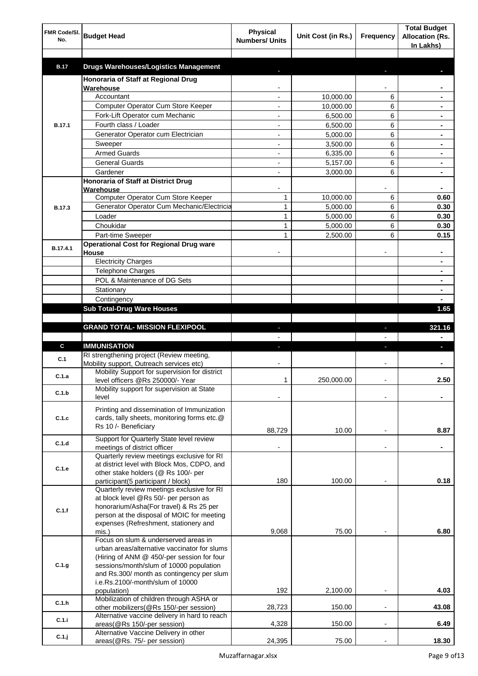| FMR Code/SI.<br>No. | <b>Budget Head</b>                                                                    | <b>Physical</b><br><b>Numbers/ Units</b> | Unit Cost (in Rs.) | Frequency      | <b>Total Budget</b><br><b>Allocation (Rs.</b><br>In Lakhs) |
|---------------------|---------------------------------------------------------------------------------------|------------------------------------------|--------------------|----------------|------------------------------------------------------------|
| <b>B.17</b>         | <b>Drugs Warehouses/Logistics Management</b>                                          |                                          |                    |                |                                                            |
|                     | Honoraria of Staff at Regional Drug                                                   |                                          |                    |                |                                                            |
|                     | Warehouse                                                                             |                                          |                    |                |                                                            |
|                     | Accountant                                                                            |                                          | 10,000.00          | 6              |                                                            |
|                     | Computer Operator Cum Store Keeper                                                    |                                          | 10,000.00          | 6              |                                                            |
|                     | Fork-Lift Operator cum Mechanic                                                       |                                          | 6,500.00           | 6              |                                                            |
| <b>B.17.1</b>       | Fourth class / Loader                                                                 |                                          | 6,500.00           | 6              |                                                            |
|                     | Generator Operator cum Electrician                                                    |                                          | 5,000.00           | 6              |                                                            |
|                     | Sweeper                                                                               |                                          | 3,500.00           | 6              |                                                            |
|                     | <b>Armed Guards</b>                                                                   |                                          | 6,335.00           | 6              |                                                            |
|                     | <b>General Guards</b>                                                                 |                                          | 5,157.00           | 6              |                                                            |
|                     | Gardener                                                                              |                                          | 3,000.00           | 6              |                                                            |
|                     | Honoraria of Staff at District Drug<br>Warehouse                                      |                                          |                    |                |                                                            |
|                     | Computer Operator Cum Store Keeper                                                    | 1                                        | 10,000.00          | 6              | 0.60                                                       |
| <b>B.17.3</b>       | Generator Operator Cum Mechanic/Electricia                                            | $\mathbf{1}$                             | 5,000.00           | 6              | 0.30                                                       |
|                     | Loader                                                                                | 1                                        | 5,000.00           | 6              | 0.30                                                       |
|                     | Choukidar                                                                             | 1                                        | 5,000.00           | 6              | 0.30                                                       |
|                     | Part-time Sweeper                                                                     | 1                                        | 2,500.00           | 6              | 0.15                                                       |
| B.17.4.1            | <b>Operational Cost for Regional Drug ware</b>                                        |                                          |                    |                | ۰                                                          |
|                     | House<br><b>Electricity Charges</b>                                                   |                                          |                    |                | ۰                                                          |
|                     | <b>Telephone Charges</b>                                                              |                                          |                    |                | ۰                                                          |
|                     | POL & Maintenance of DG Sets                                                          |                                          |                    |                | ۰                                                          |
|                     | Stationary                                                                            |                                          |                    |                | ٠                                                          |
|                     | Contingency                                                                           |                                          |                    |                |                                                            |
|                     | <b>Sub Total-Drug Ware Houses</b>                                                     |                                          |                    |                | 1.65                                                       |
|                     |                                                                                       |                                          |                    |                |                                                            |
|                     | <b>GRAND TOTAL- MISSION FLEXIPOOL</b>                                                 |                                          |                    | ı              | 321.16                                                     |
|                     |                                                                                       |                                          |                    |                |                                                            |
| C                   | <b>IMMUNISATION</b>                                                                   |                                          |                    |                |                                                            |
| C.1                 | RI strengthening project (Review meeting,<br>Mobility support, Outreach services etc) |                                          |                    |                |                                                            |
| C.1.a               | Mobility Support for supervision for district                                         |                                          |                    |                |                                                            |
|                     | level officers @Rs 250000/- Year                                                      | 1                                        | 250,000.00         |                | 2.50                                                       |
| C.1.b               | Mobility support for supervision at State<br>level                                    |                                          |                    |                |                                                            |
|                     | Printing and dissemination of Immunization                                            |                                          |                    |                |                                                            |
| C.1.c               | cards, tally sheets, monitoring forms etc.@                                           |                                          |                    |                |                                                            |
|                     | Rs 10 /- Beneficiary                                                                  | 88,729                                   | 10.00              |                | 8.87                                                       |
|                     | Support for Quarterly State level review                                              |                                          |                    |                |                                                            |
| C.1.d               | meetings of district officer                                                          |                                          |                    | $\blacksquare$ |                                                            |
|                     | Quarterly review meetings exclusive for RI                                            |                                          |                    |                |                                                            |
| C.1.e               | at district level with Block Mos, CDPO, and                                           |                                          |                    |                |                                                            |
|                     | other stake holders (@ Rs 100/- per<br>participant(5 participant / block)             | 180                                      | 100.00             |                | 0.18                                                       |
|                     | Quarterly review meetings exclusive for RI                                            |                                          |                    |                |                                                            |
|                     | at block level @Rs 50/- per person as                                                 |                                          |                    |                |                                                            |
| C.1.f               | honorarium/Asha(For travel) & Rs 25 per                                               |                                          |                    |                |                                                            |
|                     | person at the disposal of MOIC for meeting                                            |                                          |                    |                |                                                            |
|                     | expenses (Refreshment, stationery and                                                 |                                          |                    |                |                                                            |
|                     | mis.)<br>Focus on slum & underserved areas in                                         | 9,068                                    | 75.00              |                | 6.80                                                       |
|                     | urban areas/alternative vaccinator for slums                                          |                                          |                    |                |                                                            |
|                     | (Hiring of ANM @ 450/-per session for four                                            |                                          |                    |                |                                                            |
| C.1.g               | sessions/month/slum of 10000 population                                               |                                          |                    |                |                                                            |
|                     | and Rs.300/ month as contingency per slum                                             |                                          |                    |                |                                                            |
|                     | i.e.Rs.2100/-month/slum of 10000                                                      |                                          |                    |                |                                                            |
|                     | population)<br>Mobilization of children through ASHA or                               | 192                                      | 2,100.00           |                | 4.03                                                       |
| C.1.h               | other mobilizers(@Rs 150/-per session)                                                | 28,723                                   | 150.00             | $\overline{a}$ | 43.08                                                      |
|                     | Alternative vaccine delivery in hard to reach                                         |                                          |                    |                |                                                            |
| C.1.i               | areas(@Rs 150/-per session)                                                           | 4,328                                    | 150.00             | $\blacksquare$ | 6.49                                                       |
| C.1.j               | Alternative Vaccine Delivery in other                                                 |                                          |                    |                |                                                            |
|                     | areas(@Rs. 75/- per session)                                                          | 24,395                                   | 75.00              |                | 18.30                                                      |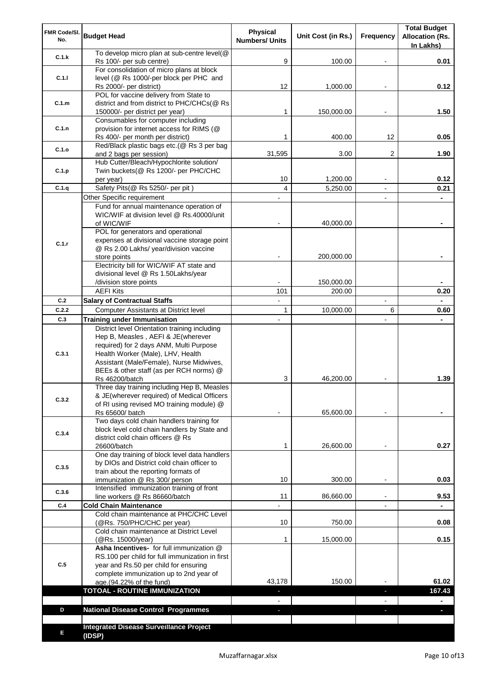| FMR Code/SI.<br>No. | <b>Budget Head</b>                                                                                                                                                                                              | <b>Physical</b><br><b>Numbers/ Units</b> | Unit Cost (in Rs.)   | Frequency                | <b>Total Budget</b><br><b>Allocation (Rs.</b><br>In Lakhs) |
|---------------------|-----------------------------------------------------------------------------------------------------------------------------------------------------------------------------------------------------------------|------------------------------------------|----------------------|--------------------------|------------------------------------------------------------|
| C.1.k               | To develop micro plan at sub-centre level(@<br>Rs 100/- per sub centre)                                                                                                                                         | 9                                        | 100.00               |                          | 0.01                                                       |
| C.1.1               | For consolidation of micro plans at block<br>level (@ Rs 1000/-per block per PHC and                                                                                                                            |                                          |                      |                          |                                                            |
|                     | Rs 2000/- per district)<br>POL for vaccine delivery from State to                                                                                                                                               | 12                                       | 1,000.00             |                          | 0.12                                                       |
| C.1.m               | district and from district to PHC/CHCs(@ Rs<br>150000/- per district per year)                                                                                                                                  | 1                                        | 150,000.00           |                          | 1.50                                                       |
|                     | Consumables for computer including                                                                                                                                                                              |                                          |                      |                          |                                                            |
| C.1.n               | provision for internet access for RIMS (@<br>Rs 400/- per month per district)                                                                                                                                   | 1                                        | 400.00               | 12                       | 0.05                                                       |
| C.1.o               | Red/Black plastic bags etc.(@ Rs 3 per bag                                                                                                                                                                      |                                          |                      |                          |                                                            |
|                     | and 2 bags per session)<br>Hub Cutter/Bleach/Hypochlorite solution/                                                                                                                                             | 31,595                                   | 3.00                 | 2                        | 1.90                                                       |
| C.1.p               | Twin buckets(@ Rs 1200/- per PHC/CHC                                                                                                                                                                            |                                          |                      |                          |                                                            |
|                     | per year)                                                                                                                                                                                                       | 10                                       | 1,200.00             |                          | 0.12                                                       |
| C.1.q               | Safety Pits(@ Rs 5250/- per pit)                                                                                                                                                                                | 4                                        | 5,250.00             |                          | 0.21                                                       |
|                     | Other Specific requirement<br>Fund for annual maintenance operation of                                                                                                                                          |                                          |                      | $\blacksquare$           |                                                            |
|                     | WIC/WIF at division level @ Rs.40000/unit                                                                                                                                                                       |                                          |                      |                          |                                                            |
|                     | of WIC/WIF                                                                                                                                                                                                      |                                          | 40,000.00            |                          |                                                            |
|                     | POL for generators and operational                                                                                                                                                                              |                                          |                      |                          |                                                            |
| C.1.r               | expenses at divisional vaccine storage point<br>@ Rs 2.00 Lakhs/ year/division vaccine                                                                                                                          |                                          |                      |                          |                                                            |
|                     | store points                                                                                                                                                                                                    |                                          | 200,000.00           |                          |                                                            |
|                     | Electricity bill for WIC/WIF AT state and                                                                                                                                                                       |                                          |                      |                          |                                                            |
|                     | divisional level @ Rs 1.50Lakhs/year                                                                                                                                                                            |                                          |                      |                          |                                                            |
|                     | /division store points<br><b>AEFI Kits</b>                                                                                                                                                                      | 101                                      | 150,000.00<br>200.00 |                          | 0.20                                                       |
| C.2                 | <b>Salary of Contractual Staffs</b>                                                                                                                                                                             | $\blacksquare$                           |                      | $\overline{\phantom{a}}$ |                                                            |
| C.2.2               | Computer Assistants at District level                                                                                                                                                                           | $\mathbf{1}$                             | 10,000.00            | 6                        | 0.60                                                       |
| C.3                 | <b>Training under Immunisation</b>                                                                                                                                                                              | $\overline{a}$                           |                      |                          |                                                            |
| C.3.1               | District level Orientation training including<br>Hep B, Measles, AEFI & JE(wherever<br>required) for 2 days ANM, Multi Purpose<br>Health Worker (Male), LHV, Health<br>Assistant (Male/Female), Nurse Midwives, |                                          |                      |                          |                                                            |
|                     | BEEs & other staff (as per RCH norms) @                                                                                                                                                                         |                                          |                      |                          | 1.39                                                       |
|                     | Rs 46200/batch<br>Three day training including Hep B, Measles                                                                                                                                                   | 3                                        | 46,200.00            |                          |                                                            |
| C.3.2               | & JE(wherever required) of Medical Officers<br>of RI using revised MO training module) @                                                                                                                        |                                          |                      |                          |                                                            |
|                     | Rs 65600/ batch<br>Two days cold chain handlers training for                                                                                                                                                    |                                          | 65,600.00            |                          |                                                            |
| C.3.4               | block level cold chain handlers by State and<br>district cold chain officers @ Rs<br>26600/batch                                                                                                                | 1                                        | 26,600.00            |                          | 0.27                                                       |
|                     | One day training of block level data handlers                                                                                                                                                                   |                                          |                      |                          |                                                            |
| C.3.5               | by DIOs and District cold chain officer to                                                                                                                                                                      |                                          |                      |                          |                                                            |
|                     | train about the reporting formats of                                                                                                                                                                            | 10                                       | 300.00               | $\overline{\phantom{a}}$ | 0.03                                                       |
|                     | immunization @ Rs 300/ person<br>Intensified immunization training of front                                                                                                                                     |                                          |                      |                          |                                                            |
| C.3.6               | line workers @ Rs 86660/batch                                                                                                                                                                                   | 11                                       | 86,660.00            | $\blacksquare$           | 9.53                                                       |
| C.4                 | <b>Cold Chain Maintenance</b>                                                                                                                                                                                   |                                          |                      |                          |                                                            |
|                     | Cold chain maintenance at PHC/CHC Level<br>(@Rs. 750/PHC/CHC per year)                                                                                                                                          | 10                                       | 750.00               |                          | 0.08                                                       |
|                     | Cold chain maintenance at District Level<br>(@Rs. 15000/year)                                                                                                                                                   | 1                                        | 15,000.00            |                          | 0.15                                                       |
| C.5                 | Asha Incentives- for full immunization @<br>RS.100 per child for full immunization in first<br>year and Rs.50 per child for ensuring<br>complete immunization up to 2nd year of                                 |                                          |                      |                          |                                                            |
|                     | age.(94.22% of the fund)<br><b>TOTOAL - ROUTINE IMMUNIZATION</b>                                                                                                                                                | 43,178                                   | 150.00               |                          | 61.02<br>167.43                                            |
|                     |                                                                                                                                                                                                                 |                                          |                      |                          |                                                            |
| D                   | <b>National Disease Control Programmes</b>                                                                                                                                                                      |                                          |                      |                          |                                                            |
|                     |                                                                                                                                                                                                                 |                                          |                      |                          |                                                            |
| Е                   | <b>Integrated Disease Surveillance Project</b><br>(IDSP)                                                                                                                                                        |                                          |                      |                          |                                                            |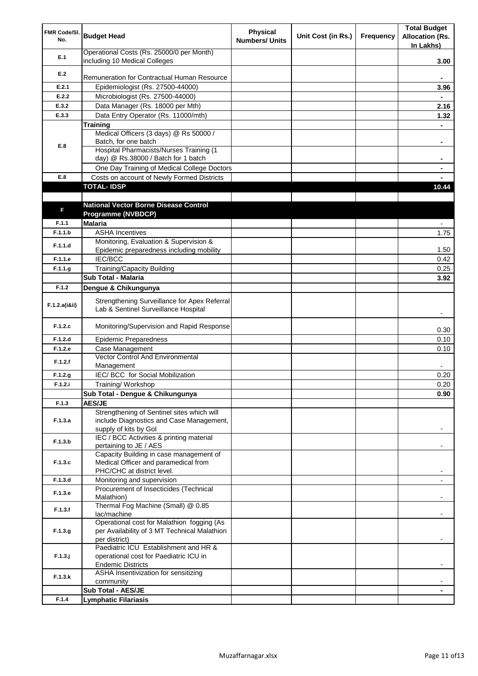| FMR Code/SI.<br>No. | <b>Budget Head</b>                                                                   | Physical<br><b>Numbers/ Units</b> | Unit Cost (in Rs.) | Frequency | <b>Total Budget</b><br><b>Allocation (Rs.</b><br>In Lakhs) |
|---------------------|--------------------------------------------------------------------------------------|-----------------------------------|--------------------|-----------|------------------------------------------------------------|
| E.1                 | Operational Costs (Rs. 25000/0 per Month)<br>including 10 Medical Colleges           |                                   |                    |           | 3.00                                                       |
| E.2                 |                                                                                      |                                   |                    |           |                                                            |
|                     | Remuneration for Contractual Human Resource                                          |                                   |                    |           |                                                            |
| E.2.1               | Epidemiologist (Rs. 27500-44000)                                                     |                                   |                    |           | 3.96                                                       |
| E.2.2               | Microbiologist (Rs. 27500-44000)                                                     |                                   |                    |           |                                                            |
| E.3.2               | Data Manager (Rs. 18000 per Mth)                                                     |                                   |                    |           | 2.16                                                       |
| E.3.3               | Data Entry Operator (Rs. 11000/mth)                                                  |                                   |                    |           | 1.32                                                       |
|                     | <b>Training</b>                                                                      |                                   |                    |           |                                                            |
|                     | Medical Officers (3 days) @ Rs 50000 /                                               |                                   |                    |           |                                                            |
| E.8                 | Batch, for one batch<br><b>Hospital Pharmacists/Nurses Training (1</b>               |                                   |                    |           | ۰                                                          |
|                     | day) @ Rs.38000 / Batch for 1 batch                                                  |                                   |                    |           |                                                            |
|                     | One Day Training of Medical College Doctors                                          |                                   |                    |           |                                                            |
| E.8                 | Costs on account of Newly Formed Districts                                           |                                   |                    |           |                                                            |
|                     | <b>TOTAL-IDSP</b>                                                                    |                                   |                    |           | 10.44                                                      |
|                     |                                                                                      |                                   |                    |           |                                                            |
|                     | <b>National Vector Borne Disease Control</b>                                         |                                   |                    |           |                                                            |
| F                   | Programme (NVBDCP)                                                                   |                                   |                    |           |                                                            |
| F.1.1               | <b>Malaria</b>                                                                       |                                   |                    |           | $\overline{\phantom{0}}$                                   |
| F.1.1.b             | <b>ASHA Incentives</b>                                                               |                                   |                    |           | 1.75                                                       |
|                     | Monitoring, Evaluation & Supervision &                                               |                                   |                    |           |                                                            |
| F.1.1.d             | Epidemic preparedness including mobility                                             |                                   |                    |           | 1.50                                                       |
| F.1.1.e             | IEC/BCC                                                                              |                                   |                    |           | 0.42                                                       |
| F.1.1.g             | <b>Training/Capacity Building</b>                                                    |                                   |                    |           | 0.25                                                       |
|                     | Sub Total - Malaria                                                                  |                                   |                    |           | 3.92                                                       |
| F.1.2               | Dengue & Chikungunya                                                                 |                                   |                    |           |                                                            |
|                     |                                                                                      |                                   |                    |           |                                                            |
| F.1.2.a(iⅈ)         | Strengthening Surveillance for Apex Referral<br>Lab & Sentinel Surveillance Hospital |                                   |                    |           |                                                            |
| F.1.2.c             | Monitoring/Supervision and Rapid Response                                            |                                   |                    |           | 0.30                                                       |
| F.1.2.d             | <b>Epidemic Preparedness</b>                                                         |                                   |                    |           | 0.10                                                       |
| F.1.2.e             | Case Management                                                                      |                                   |                    |           | 0.10                                                       |
| F.1.2.f             | Vector Control And Environmental                                                     |                                   |                    |           |                                                            |
|                     | Management<br>IEC/ BCC for Social Mobilization                                       |                                   |                    |           |                                                            |
| F.1.2.g<br>F.1.2.i  | Training/Workshop                                                                    |                                   |                    |           | 0.20<br>0.20                                               |
|                     |                                                                                      |                                   |                    |           |                                                            |
| F.1.3               | Sub Total - Dengue & Chikungunya                                                     |                                   |                    |           | 0.90                                                       |
|                     | <b>AES/JE</b><br>Strengthening of Sentinel sites which will                          |                                   |                    |           |                                                            |
| F.1.3.a             | include Diagnostics and Case Management,                                             |                                   |                    |           |                                                            |
|                     | supply of kits by Gol                                                                |                                   |                    |           |                                                            |
|                     | IEC / BCC Activities & printing material                                             |                                   |                    |           |                                                            |
| F.1.3.b             | pertaining to JE / AES                                                               |                                   |                    |           |                                                            |
|                     | Capacity Building in case management of                                              |                                   |                    |           |                                                            |
| F.1.3.c             | Medical Officer and paramedical from                                                 |                                   |                    |           |                                                            |
|                     | PHC/CHC at district level.                                                           |                                   |                    |           |                                                            |
| F.1.3.d             | Monitoring and supervision                                                           |                                   |                    |           |                                                            |
| F.1.3.e             | Procurement of Insecticides (Technical                                               |                                   |                    |           |                                                            |
|                     | Malathion)<br>Thermal Fog Machine (Small) @ 0.85                                     |                                   |                    |           |                                                            |
| F.1.3.f             | lac/machine                                                                          |                                   |                    |           |                                                            |
|                     | Operational cost for Malathion fogging (As                                           |                                   |                    |           |                                                            |
| F.1.3.g             | per Availability of 3 MT Technical Malathion                                         |                                   |                    |           |                                                            |
|                     | per district)                                                                        |                                   |                    |           |                                                            |
|                     | Paediatric ICU Establishment and HR &                                                |                                   |                    |           |                                                            |
| $F.1.3.$ j          | operational cost for Paediatric ICU in                                               |                                   |                    |           |                                                            |
|                     | <b>Endemic Districts</b>                                                             |                                   |                    |           |                                                            |
| F.1.3.k             | ASHA Insentivization for sensitizing                                                 |                                   |                    |           |                                                            |
|                     | community                                                                            |                                   |                    |           |                                                            |
|                     | Sub Total - AES/JE                                                                   |                                   |                    |           |                                                            |
| F.1.4               | <b>Lymphatic Filariasis</b>                                                          |                                   |                    |           |                                                            |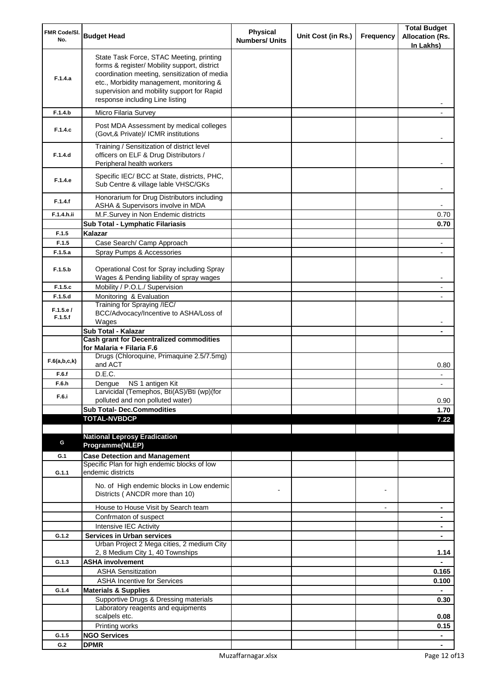| FMR Code/SI.<br>No. | <b>Budget Head</b>                                                                                                                                                                                                                                                    | Physical<br><b>Numbers/ Units</b> | Unit Cost (in Rs.) | Frequency      | <b>Total Budget</b><br><b>Allocation (Rs.</b><br>In Lakhs) |
|---------------------|-----------------------------------------------------------------------------------------------------------------------------------------------------------------------------------------------------------------------------------------------------------------------|-----------------------------------|--------------------|----------------|------------------------------------------------------------|
| F.1.4.a             | State Task Force, STAC Meeting, printing<br>forms & register/ Mobility support, district<br>coordination meeting, sensitization of media<br>etc., Morbidity management, monitoring &<br>supervision and mobility support for Rapid<br>response including Line listing |                                   |                    |                |                                                            |
| F.1.4.b             | Micro Filaria Survey                                                                                                                                                                                                                                                  |                                   |                    |                |                                                            |
| F.1.4.c             | Post MDA Assessment by medical colleges<br>(Govt, & Private)/ ICMR institutions                                                                                                                                                                                       |                                   |                    |                |                                                            |
| F.1.4.d             | Training / Sensitization of district level<br>officers on ELF & Drug Distributors /<br>Peripheral health workers                                                                                                                                                      |                                   |                    |                |                                                            |
| F.1.4.e             | Specific IEC/ BCC at State, districts, PHC,<br>Sub Centre & village lable VHSC/GKs                                                                                                                                                                                    |                                   |                    |                |                                                            |
| F.1.4.f             | Honorarium for Drug Distributors including<br>ASHA & Supervisors involve in MDA                                                                                                                                                                                       |                                   |                    |                |                                                            |
| F.1.4.h.ii          | M.F.Survey in Non Endemic districts                                                                                                                                                                                                                                   |                                   |                    |                | 0.70                                                       |
|                     | Sub Total - Lymphatic Filariasis                                                                                                                                                                                                                                      |                                   |                    |                | 0.70                                                       |
| F.1.5               | Kalazar                                                                                                                                                                                                                                                               |                                   |                    |                |                                                            |
| F.1.5               | Case Search/ Camp Approach                                                                                                                                                                                                                                            |                                   |                    |                |                                                            |
| F.1.5.a             | Spray Pumps & Accessories                                                                                                                                                                                                                                             |                                   |                    |                |                                                            |
| F.1.5.b             | Operational Cost for Spray including Spray<br>Wages & Pending liability of spray wages                                                                                                                                                                                |                                   |                    |                |                                                            |
| F.1.5.c             | Mobility / P.O.L./ Supervision                                                                                                                                                                                                                                        |                                   |                    |                |                                                            |
| F.1.5.d             | Monitoring & Evaluation                                                                                                                                                                                                                                               |                                   |                    |                |                                                            |
| F.1.5.e/<br>F.1.5.f | Training for Spraying /IEC/<br>BCC/Advocacy/Incentive to ASHA/Loss of<br>Wages                                                                                                                                                                                        |                                   |                    |                |                                                            |
|                     | Sub Total - Kalazar                                                                                                                                                                                                                                                   |                                   |                    |                |                                                            |
|                     | <b>Cash grant for Decentralized commodities</b><br>for Malaria + Filaria F.6                                                                                                                                                                                          |                                   |                    |                |                                                            |
| F.6(a,b,c,k)        | Drugs (Chloroquine, Primaquine 2.5/7.5mg)<br>and ACT                                                                                                                                                                                                                  |                                   |                    |                | 0.80                                                       |
| F.6.f               | D.E.C.                                                                                                                                                                                                                                                                |                                   |                    |                |                                                            |
| F.6.h<br>F.6.i      | Dengue NS 1 antigen Kit<br>Larvicidal (Temephos, Bti(AS)/Bti (wp)(for<br>polluted and non polluted water)                                                                                                                                                             |                                   |                    |                | 0.90                                                       |
|                     | <b>Sub Total- Dec.Commodities</b>                                                                                                                                                                                                                                     |                                   |                    |                | 1.70                                                       |
|                     | <b>TOTAL-NVBDCP</b>                                                                                                                                                                                                                                                   |                                   |                    |                | 7.22                                                       |
|                     |                                                                                                                                                                                                                                                                       |                                   |                    |                |                                                            |
| G                   | <b>National Leprosy Eradication</b>                                                                                                                                                                                                                                   |                                   |                    |                |                                                            |
|                     | Programme(NLEP)                                                                                                                                                                                                                                                       |                                   |                    |                |                                                            |
| G.1                 | <b>Case Detection and Management</b>                                                                                                                                                                                                                                  |                                   |                    |                |                                                            |
| G.1.1               | Specific Plan for high endemic blocks of low<br>endemic districts                                                                                                                                                                                                     |                                   |                    |                |                                                            |
|                     | No. of High endemic blocks in Low endemic<br>Districts (ANCDR more than 10)                                                                                                                                                                                           |                                   |                    |                |                                                            |
|                     | House to House Visit by Search team                                                                                                                                                                                                                                   |                                   |                    | $\blacksquare$ | ۰                                                          |
|                     | Confrmaton of suspect                                                                                                                                                                                                                                                 |                                   |                    |                | ۰                                                          |
|                     | Intensive IEC Activity                                                                                                                                                                                                                                                |                                   |                    |                | ٠                                                          |
| G.1.2               | <b>Services in Urban services</b>                                                                                                                                                                                                                                     |                                   |                    |                | $\blacksquare$                                             |
|                     | Urban Project 2 Mega cities, 2 medium City<br>2, 8 Medium City 1, 40 Townships                                                                                                                                                                                        |                                   |                    |                | 1.14                                                       |
| G.1.3               | <b>ASHA involvement</b>                                                                                                                                                                                                                                               |                                   |                    |                |                                                            |
|                     | <b>ASHA Sensitization</b>                                                                                                                                                                                                                                             |                                   |                    |                | 0.165                                                      |
|                     | <b>ASHA Incentive for Services</b>                                                                                                                                                                                                                                    |                                   |                    |                | 0.100                                                      |
| G.1.4               | <b>Materials &amp; Supplies</b>                                                                                                                                                                                                                                       |                                   |                    |                |                                                            |
|                     | Supportive Drugs & Dressing materials                                                                                                                                                                                                                                 |                                   |                    |                | 0.30                                                       |
|                     | Laboratory reagents and equipments                                                                                                                                                                                                                                    |                                   |                    |                |                                                            |
|                     | scalpels etc.<br>Printing works                                                                                                                                                                                                                                       |                                   |                    |                | 0.08<br>0.15                                               |
| G.1.5               | <b>NGO Services</b>                                                                                                                                                                                                                                                   |                                   |                    |                | $\blacksquare$                                             |
| G.2                 | <b>DPMR</b>                                                                                                                                                                                                                                                           |                                   |                    |                |                                                            |